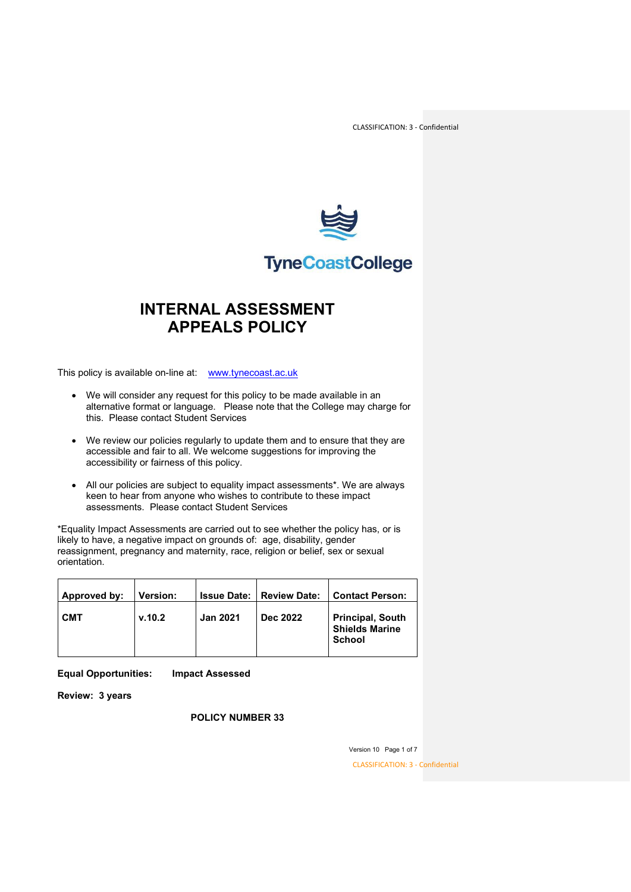

## **TyneCoastCollege**

### **INTERNAL ASSESSMENT APPEALS POLICY**

This policy is available on-line at: [www.tynecoast.ac.uk](http://www.tynecoast.ac.uk/)

- We will consider any request for this policy to be made available in an alternative format or language. Please note that the College may charge for this. Please contact Student Services
- We review our policies regularly to update them and to ensure that they are accessible and fair to all. We welcome suggestions for improving the accessibility or fairness of this policy.
- All our policies are subject to equality impact assessments\*. We are always keen to hear from anyone who wishes to contribute to these impact assessments. Please contact Student Services

\*Equality Impact Assessments are carried out to see whether the policy has, or is likely to have, a negative impact on grounds of: age, disability, gender reassignment, pregnancy and maternity, race, religion or belief, sex or sexual orientation.

| Approved by: | <b>Version:</b> | <b>Issue Date:</b> | <b>Review Date:</b> | <b>Contact Person:</b>                                            |
|--------------|-----------------|--------------------|---------------------|-------------------------------------------------------------------|
| <b>CMT</b>   | v.10.2          | <b>Jan 2021</b>    | Dec 2022            | <b>Principal, South</b><br><b>Shields Marine</b><br><b>School</b> |

**Equal Opportunities: Impact Assessed**

**Review: 3 years**

**POLICY NUMBER 33**

Version 10 Page 1 of 7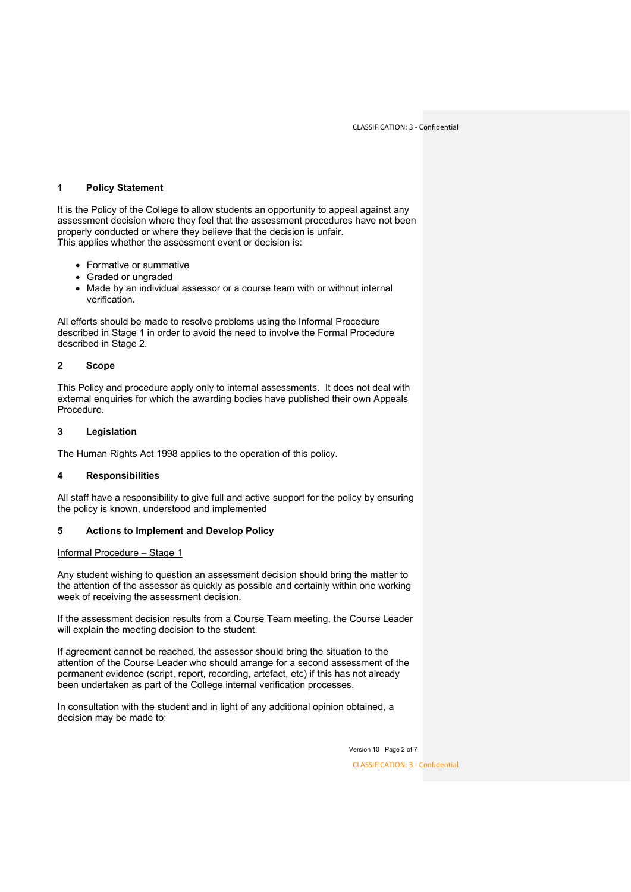#### **1 Policy Statement**

It is the Policy of the College to allow students an opportunity to appeal against any assessment decision where they feel that the assessment procedures have not been properly conducted or where they believe that the decision is unfair. This applies whether the assessment event or decision is:

- Formative or summative
- Graded or ungraded
- Made by an individual assessor or a course team with or without internal verification.

All efforts should be made to resolve problems using the Informal Procedure described in Stage 1 in order to avoid the need to involve the Formal Procedure described in Stage 2.

#### **2 Scope**

This Policy and procedure apply only to internal assessments. It does not deal with external enquiries for which the awarding bodies have published their own Appeals Procedure.

#### **3 Legislation**

The Human Rights Act 1998 applies to the operation of this policy.

#### **4 Responsibilities**

All staff have a responsibility to give full and active support for the policy by ensuring the policy is known, understood and implemented

#### **5 Actions to Implement and Develop Policy**

#### Informal Procedure – Stage 1

Any student wishing to question an assessment decision should bring the matter to the attention of the assessor as quickly as possible and certainly within one working week of receiving the assessment decision.

If the assessment decision results from a Course Team meeting, the Course Leader will explain the meeting decision to the student.

If agreement cannot be reached, the assessor should bring the situation to the attention of the Course Leader who should arrange for a second assessment of the permanent evidence (script, report, recording, artefact, etc) if this has not already been undertaken as part of the College internal verification processes.

In consultation with the student and in light of any additional opinion obtained, a decision may be made to:

Version 10 Page 2 of 7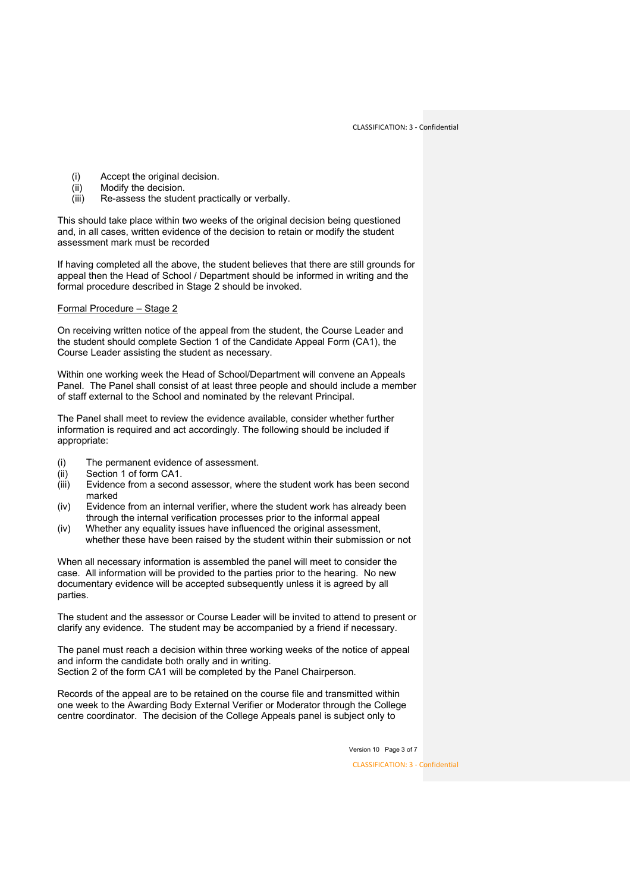- (i) Accept the original decision.<br>(ii) Modify the decision.
- Modify the decision.
- (iii) Re-assess the student practically or verbally.

This should take place within two weeks of the original decision being questioned and, in all cases, written evidence of the decision to retain or modify the student assessment mark must be recorded

If having completed all the above, the student believes that there are still grounds for appeal then the Head of School / Department should be informed in writing and the formal procedure described in Stage 2 should be invoked.

Formal Procedure – Stage 2

On receiving written notice of the appeal from the student, the Course Leader and the student should complete Section 1 of the Candidate Appeal Form (CA1), the Course Leader assisting the student as necessary.

Within one working week the Head of School/Department will convene an Appeals Panel. The Panel shall consist of at least three people and should include a member of staff external to the School and nominated by the relevant Principal.

The Panel shall meet to review the evidence available, consider whether further information is required and act accordingly. The following should be included if appropriate:

- (i) The permanent evidence of assessment.<br>(ii) Section 1 of form CA1.
- Section 1 of form CA1.
- (iii) Evidence from a second assessor, where the student work has been second marked
- (iv) Evidence from an internal verifier, where the student work has already been through the internal verification processes prior to the informal appeal
- (iv) Whether any equality issues have influenced the original assessment, whether these have been raised by the student within their submission or not

When all necessary information is assembled the panel will meet to consider the case. All information will be provided to the parties prior to the hearing. No new documentary evidence will be accepted subsequently unless it is agreed by all parties.

The student and the assessor or Course Leader will be invited to attend to present or clarify any evidence. The student may be accompanied by a friend if necessary.

The panel must reach a decision within three working weeks of the notice of appeal and inform the candidate both orally and in writing. Section 2 of the form CA1 will be completed by the Panel Chairperson.

Records of the appeal are to be retained on the course file and transmitted within one week to the Awarding Body External Verifier or Moderator through the College centre coordinator. The decision of the College Appeals panel is subject only to

Version 10 Page 3 of 7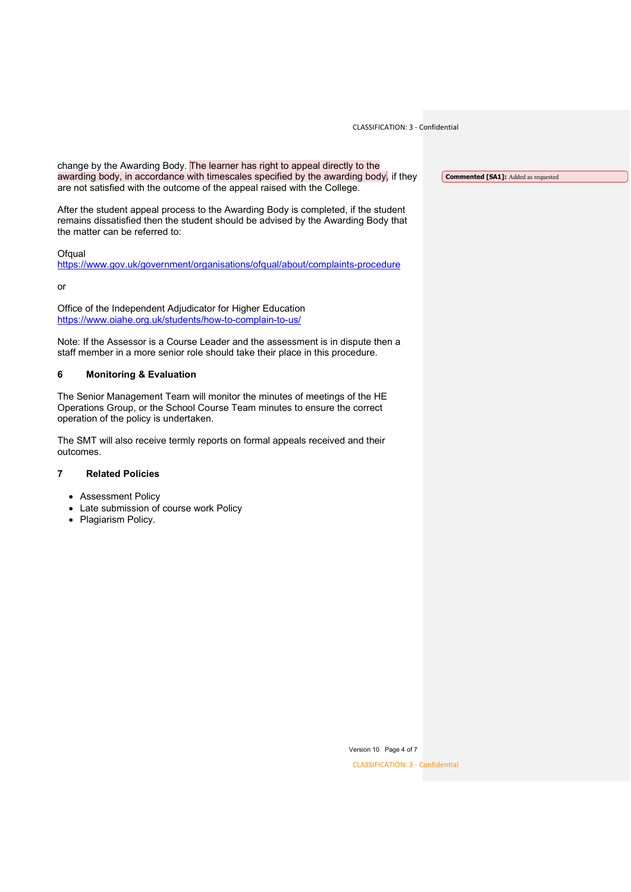CLASSIFICATION: 3 - Confidential

change by the Awarding Body. The learner has right to appeal directly to the awarding body, in accordance with timescales specified by the awarding body, if they are not satisfied with the outcome of the appeal raised with the College.

After the student appeal process to the Awarding Body is completed, if the student remains dissatisfied then the student should be advised by the Awarding Body that the matter can be referred to:

Ofqual

<https://www.gov.uk/government/organisations/ofqual/about/complaints-procedure>

or

Office of the Independent Adjudicator for Higher Education <https://www.oiahe.org.uk/students/how-to-complain-to-us/>

Note: If the Assessor is a Course Leader and the assessment is in dispute then a staff member in a more senior role should take their place in this procedure.

#### **6 Monitoring & Evaluation**

The Senior Management Team will monitor the minutes of meetings of the HE Operations Group, or the School Course Team minutes to ensure the correct operation of the policy is undertaken.

The SMT will also receive termly reports on formal appeals received and their outcomes.

#### **7 Related Policies**

- Assessment Policy
- Late submission of course work Policy
- Plagiarism Policy.

**Commented [SA1]:** Added as requested

Version 10 Page 4 of 7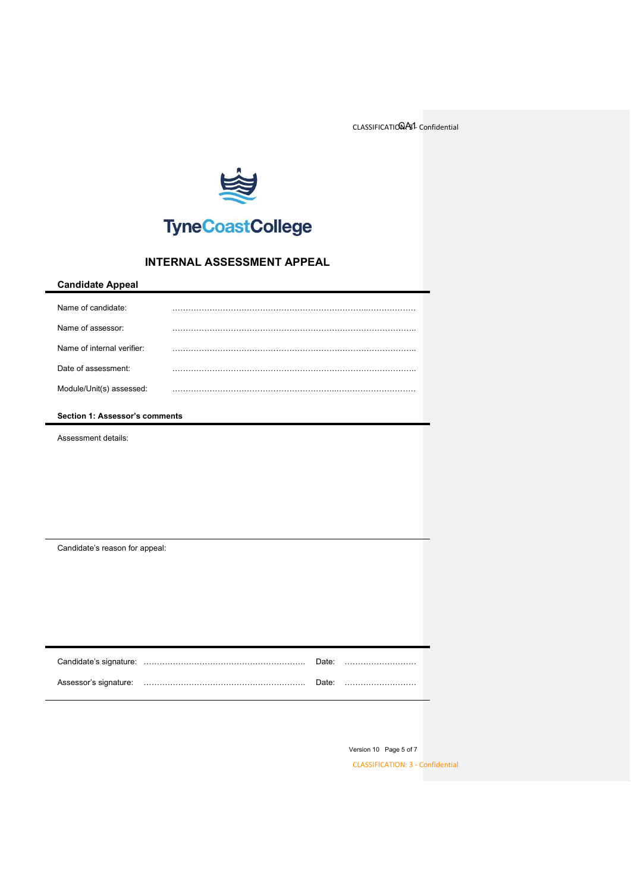CLASSIFICATIONAS1- Confidential



# **TyneCoastCollege**

### **INTERNAL ASSESSMENT APPEAL**

| <b>Candidate Appeal</b>        |       |  |  |
|--------------------------------|-------|--|--|
| Name of candidate:             |       |  |  |
| Name of assessor:              |       |  |  |
| Name of internal verifier:     |       |  |  |
| Date of assessment:            |       |  |  |
| Module/Unit(s) assessed:       |       |  |  |
| Section 1: Assessor's comments |       |  |  |
| Assessment details:            |       |  |  |
|                                |       |  |  |
|                                |       |  |  |
|                                |       |  |  |
|                                |       |  |  |
| Candidate's reason for appeal: |       |  |  |
|                                |       |  |  |
|                                |       |  |  |
|                                |       |  |  |
|                                |       |  |  |
|                                |       |  |  |
| Candidate's signature:         | Date: |  |  |

Assessor's signature: ……………………………………………………. Date: ………………………

Version 10 Page 5 of 7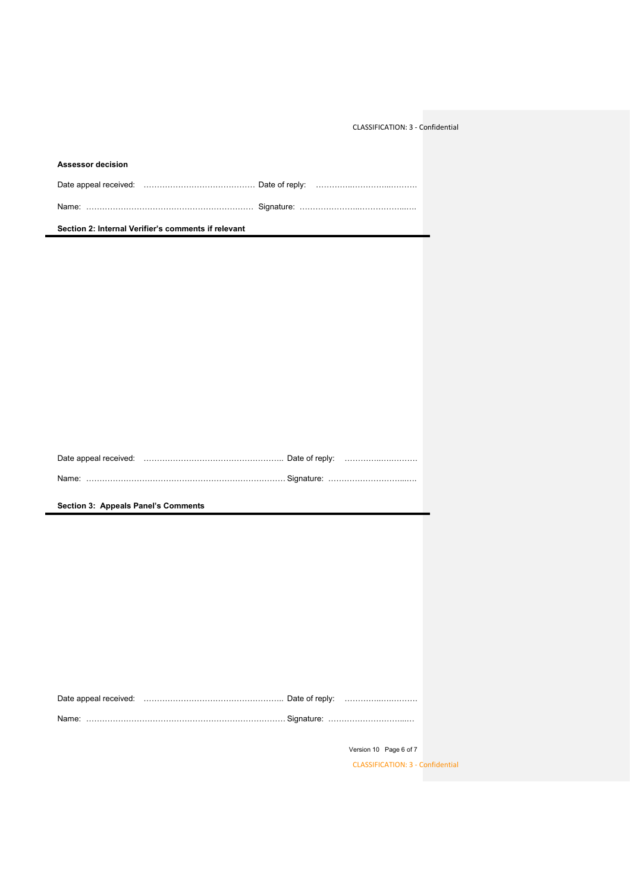CLASSIFICATION: 3 - Confidential

| <b>Assessor decision</b>                            |  |  |  |  |
|-----------------------------------------------------|--|--|--|--|
|                                                     |  |  |  |  |
|                                                     |  |  |  |  |
| Section 2: Internal Verifier's comments if relevant |  |  |  |  |

**Section 3: Appeals Panel's Comments**

Version 10 Page 6 of 7